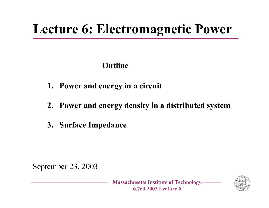# **Lecture 6: Electromagnetic Power**

#### **Outline**

- **1. Power and energy in a circuit**
- **2. Power and energy density in a distributed system**
- **3. Surface Impedance**

September 23, 2003

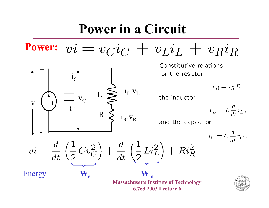### **Power in a Circuit**

 $vi = v_C i_C + v_L i_L + v_R i_R$ **Power:**

 $\rm i_L . v_L$ 

 $\rm i_R$ . $\rm v_R$ 

Constitutive relations for the resistor

 $v_R = i_R R$ ,

the inductor

$$
v_L = L \frac{d}{dt} i_L \,,
$$

and the capacitor

$$
i_C = C \frac{d}{dt} v_C \,,
$$



i

v

 $\, + \,$ 

iC

 $\boldsymbol{C}$ 

v $\, C \,$ 

R

 $\rm L$ 

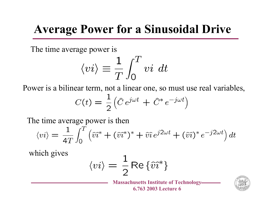### **Average Power for a Sinusoidal Drive**

The time average power is

$$
\langle vi\rangle\equiv\frac{1}{T}\int_0^T vi\,\,dt
$$

Power is a bilinear term, not a linear one, so must use real variables,

$$
C(t) = \frac{1}{2} \left( \hat{C} e^{j\omega t} + \hat{C}^* e^{-j\omega t} \right)
$$

The time average power is then

$$
\langle vi \rangle = \frac{1}{4T} \int_0^T \left( \widehat{vi}^* + (\widehat{vi}^*)^* + \widehat{vi} e^{j2\omega t} + (\widehat{vi})^* e^{-j2\omega t} \right) dt
$$

which gives

$$
\langle vi \rangle = \frac{1}{2} \operatorname{Re} \left\{ \widehat{vi}^* \right\}
$$

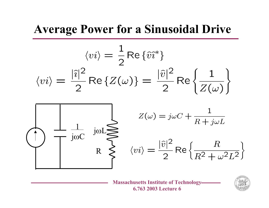### **Average Power for a Sinusoidal Drive**

$$
\langle vi \rangle = \frac{1}{2} \text{Re}\left\{\tilde{v}\tilde{i}^*\right\}
$$

$$
\langle vi \rangle = \frac{|\tilde{i}|^2}{2} \text{Re}\left\{Z(\omega)\right\} = \frac{|\tilde{v}|^2}{2} \text{Re}\left\{\frac{1}{Z(\omega)}\right\}
$$

$$
\sqrt{\frac{1}{\text{loc}} \sum_{j\omega C} j\omega L} \sum_{k \geq 0} Z(\omega) = j\omega C + \frac{1}{R + j\omega L}
$$

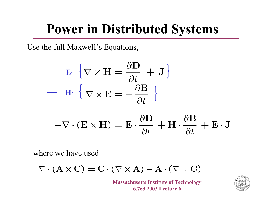# **Power in Distributed Systems**

Use the full Maxwell's Equations,

$$
\mathbf{E} \cdot \{ \nabla \times \mathbf{H} = \frac{\partial \mathbf{D}}{\partial t} + \mathbf{J} \}
$$

$$
- \mathbf{H} \cdot \{ \nabla \times \mathbf{E} = -\frac{\partial \mathbf{B}}{\partial t} \}
$$

$$
-\nabla \cdot (\mathbf{E} \times \mathbf{H}) = \mathbf{E} \cdot \frac{\partial \mathbf{D}}{\partial t} + \mathbf{H} \cdot \frac{\partial \mathbf{B}}{\partial t} + \mathbf{E} \cdot \mathbf{J}
$$

where we have used

$$
\nabla \cdot (\mathbf{A} \times \mathbf{C}) = \mathbf{C} \cdot (\nabla \times \mathbf{A}) - \mathbf{A} \cdot (\nabla \times \mathbf{C})
$$

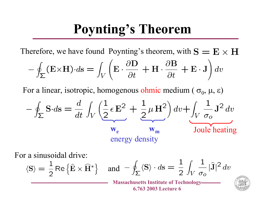# **Poynting's Theorem**

Therefore, we have found Poynting's theorem, with

$$
-\oint_{\Sigma} (\mathbf{E} \times \mathbf{H}) \cdot d\mathbf{s} = \int_{V} \left( \mathbf{E} \cdot \frac{\partial \mathbf{D}}{\partial t} + \mathbf{H} \cdot \frac{\partial \mathbf{B}}{\partial t} + \mathbf{E} \cdot \mathbf{J} \right) dv
$$

For a linear, isotropic, homogenous ohmic medium (  $\sigma_0$ , μ, ε)

$$
-\oint_{\Sigma} S \cdot d\mathbf{s} = \frac{d}{dt} \int_{V} \left( \frac{1}{2} \epsilon \mathbf{E}^{2} + \frac{1}{2} \mu \mathbf{H}^{2} \right) dv + \int_{V} \frac{1}{\sigma_{o}} \mathbf{J}^{2} dv
$$
  

$$
\mathbf{w}_{e} \qquad \mathbf{w}_{m} \qquad \text{Joule heating}
$$
energy density

For a sinusoidal drive:

$$
\langle S \rangle = \frac{1}{2} \operatorname{Re} \left\{ \hat{\mathbf{E}} \times \widehat{\mathbf{H}}^* \right\} \quad \text{and} \quad -\oint_{\Sigma} \langle S \rangle \cdot d\mathbf{s} = \frac{1}{2} \int_{V} \frac{1}{\sigma_o} |\widehat{\mathbf{J}}|^2 dv
$$

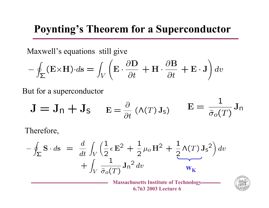### **Poynting's Theorem for a Superconductor**

Maxwell's equations still give

$$
-\oint_{\Sigma} (\mathbf{E} \times \mathbf{H}) \cdot d\mathbf{s} = \int_{V} \left( \mathbf{E} \cdot \frac{\partial \mathbf{D}}{\partial t} + \mathbf{H} \cdot \frac{\partial \mathbf{B}}{\partial t} + \mathbf{E} \cdot \mathbf{J} \right) dv
$$

But for a superconductor

$$
\mathbf{J} = \mathbf{J}_n + \mathbf{J}_s \qquad \mathbf{E} = \frac{\partial}{\partial t} \left( \Lambda(T) \mathbf{J}_s \right) \qquad \mathbf{E} = \frac{1}{\tilde{\sigma}_o(T)} \mathbf{J}_n
$$

Therefore,

$$
-\oint_{\Sigma} \mathbf{S} \cdot d\mathbf{s} = \frac{d}{dt} \int_{V} \left( \frac{1}{2} \epsilon \mathbf{E}^2 + \frac{1}{2} \mu_o \mathbf{H}^2 + \frac{1}{2} \Lambda(T) \mathbf{J}_\mathbf{s}^2 \right) dv + \int_{V} \frac{1}{\tilde{\sigma}_o(T)} \mathbf{J}_n^2 dv
$$

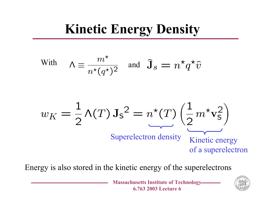# **Kinetic Energy Density**

With 
$$
\Lambda \equiv \frac{m^{\star}}{n^{\star}(q^{\star})^2}
$$
 and  $\hat{\mathbf{J}}_s = n^{\star}q^{\star}\hat{v}$ 

$$
w_K = \frac{1}{2} \Lambda(T) \mathbf{J}_\mathsf{S}^2 = n^\star(T) \left( \frac{1}{2} m^\star \mathbf{v}_\mathsf{S}^2 \right)
$$
  
Superelectron density  
of a superelectron

Energy is also stored in the kinetic energy of the superelectrons

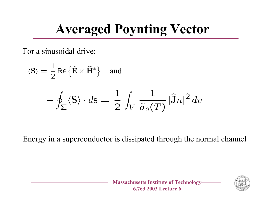# **Averaged Poynting Vector**

For a sinusoidal drive:

$$
\langle S \rangle = \frac{1}{2} \text{Re} \{ \hat{E} \times \hat{H}^* \} \text{ and}
$$
  
- 
$$
\oint_{\Sigma} \langle S \rangle \cdot dS = \frac{1}{2} \int_{V} \frac{1}{\tilde{\sigma}_o(T)} |\hat{J}n|^2 dv
$$

Energy in a superconductor is dissipated through the normal channel

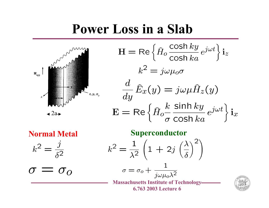### **Power Loss in a Slab**



$$
H = \text{Re}\left\{\hat{H}_o \frac{\cosh ky}{\cosh ka} e^{j\omega t}\right\} i_z
$$

$$
k^2 = j\omega\mu_o \sigma
$$

$$
\frac{d}{dy}\hat{E}_x(y) = j\omega\mu \hat{H}_z(y)
$$

$$
E = \text{Re}\left\{\hat{H}_o \frac{k}{\sigma} \frac{\sinh ky}{\cosh ka} e^{j\omega t}\right\} i_x
$$

$$
k^2 = \frac{\jmath}{\delta^2}
$$

 $\sigma = \sigma_{0}$ 

**Normal Metal Superconductor** 

$$
k^2 = \frac{1}{\lambda^2} \left( 1 + 2j \left( \frac{\lambda}{\delta} \right)^2 \right)
$$

$$
\sigma = \sigma_o + \frac{1}{j\omega\mu_o\lambda^2}
$$

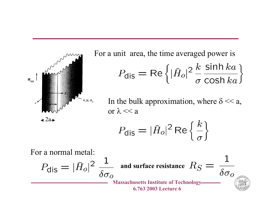

For a unit area, the time averaged power is  $P_{dis} = \text{Re}\left\{|\hat{H}_o|^2 \frac{k}{\sigma} \frac{\sinh ka}{\cosh ka}\right\}$ 

In the bulk approximation, where  $\delta \ll a$ , or λ << a

$$
P_{\rm dis} = |\hat{H}_o|^2 \operatorname{Re}\left\{\frac{k}{\sigma}\right\}
$$

For a normal metal:

$$
P_{\text{dis}} = |\hat{H}_o|^2 \frac{1}{\delta \sigma_o}
$$
 and surface resistance  $R_S = \frac{1}{\delta \sigma_o}$   
Massachusetts Institute of Technology—  
6.763 2003 Lecture 6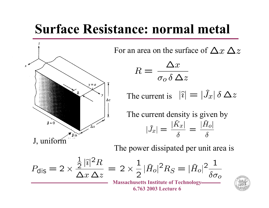### **Surface Resistance: normal metal**



For an area on the surface of

$$
R = \frac{\Delta x}{\sigma_o \delta \, \Delta z}
$$

The current is

The current density is given by  $|\widehat{J}_x| = \frac{|\widehat{K}_x|}{s} = \frac{|\widehat{H}_o|}{s}$ 

The power dissipated per unit area is

$$
P_{\text{dis}} = 2 \times \frac{\frac{1}{2} |\hat{\imath}|^2 R}{\Delta x \, \Delta z} = 2 \times \frac{1}{2} |\hat{H}_o|^2 R_S = |\hat{H}_o|^2 \frac{1}{\delta \sigma_o}
$$
\nMassachusetts Institute of Technology

\n6.763 2003 Lecture 6

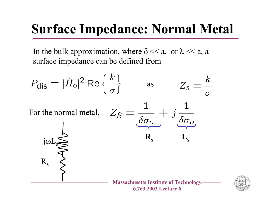# **Surface Impedance: Normal Metal**

In the bulk approximation, where  $\delta \ll a$ , or  $\lambda \ll a$ , a surface impedance can be defined from

$$
P_{\text{dis}} = |\hat{H}_o|^2 \operatorname{Re} \left\{ \frac{k}{\sigma} \right\} \qquad \text{as} \qquad Z_s = \frac{k}{\sigma}
$$



Rs

 $\mathrm{j}\mathrm{\omega L}_\mathrm{s}$ 



**s**

**s**